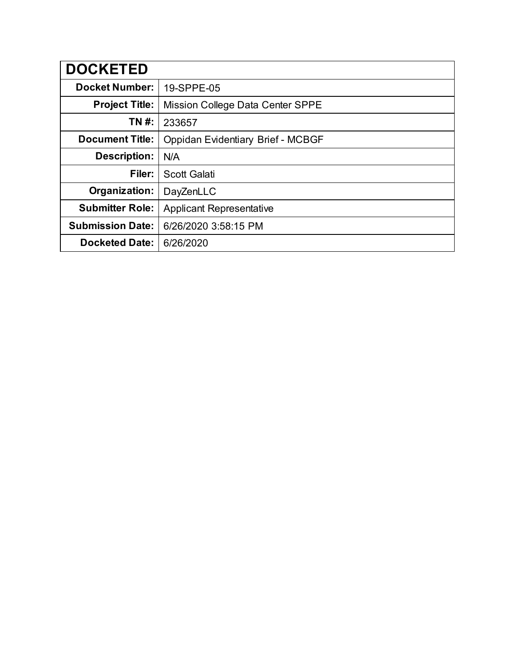| <b>DOCKETED</b>         |                                   |
|-------------------------|-----------------------------------|
| <b>Docket Number:</b>   | 19-SPPE-05                        |
| <b>Project Title:</b>   | Mission College Data Center SPPE  |
| TN #:                   | 233657                            |
| <b>Document Title:</b>  | Oppidan Evidentiary Brief - MCBGF |
| <b>Description:</b>     | N/A                               |
| Filer:                  | <b>Scott Galati</b>               |
| Organization:           | DayZenLLC                         |
| <b>Submitter Role:</b>  | <b>Applicant Representative</b>   |
| <b>Submission Date:</b> | 6/26/2020 3:58:15 PM              |
| <b>Docketed Date:</b>   | 6/26/2020                         |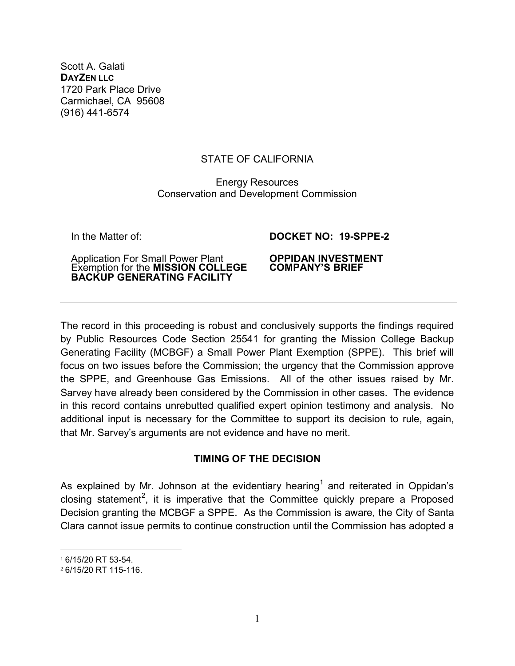Scott A. Galati **DAYZEN LLC** 1720 Park Place Drive Carmichael, CA 95608 (916) 441-6574

#### STATE OF CALIFORNIA

#### Energy Resources Conservation and Development Commission

| In the Matter of:                                                             | DOCKET NO: 19-SPPE-2      |
|-------------------------------------------------------------------------------|---------------------------|
| Application For Small Power Plant<br>Exemption for the <b>MISSION COLLEGE</b> | <b>OPPIDAN INVESTMENT</b> |
| <b>BACKUP GENERATING FACILITY</b>                                             | <b>COMPANY'S BRIEF</b>    |

The record in this proceeding is robust and conclusively supports the findings required by Public Resources Code Section 25541 for granting the Mission College Backup Generating Facility (MCBGF) a Small Power Plant Exemption (SPPE). This brief will focus on two issues before the Commission; the urgency that the Commission approve the SPPE, and Greenhouse Gas Emissions. All of the other issues raised by Mr. Sarvey have already been considered by the Commission in other cases. The evidence in this record contains unrebutted qualified expert opinion testimony and analysis. No additional input is necessary for the Committee to support its decision to rule, again, that Mr. Sarvey's arguments are not evidence and have no merit.

#### **TIMING OF THE DECISION**

As explained by Mr. Johnson at the evidentiary hearing<sup>1</sup> and reiterated in Oppidan's closing statement<sup>2</sup>, it is imperative that the Committee quickly prepare a Proposed Decision granting the MCBGF a SPPE. As the Commission is aware, the City of Santa Clara cannot issue permits to continue construction until the Commission has adopted a

 <sup>1</sup> 6/15/20 RT 53-54.

<sup>2</sup> 6/15/20 RT 115-116.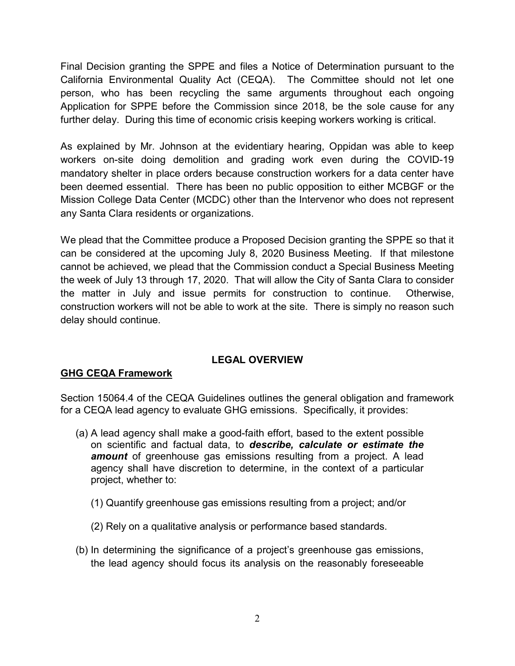Final Decision granting the SPPE and files a Notice of Determination pursuant to the California Environmental Quality Act (CEQA). The Committee should not let one person, who has been recycling the same arguments throughout each ongoing Application for SPPE before the Commission since 2018, be the sole cause for any further delay. During this time of economic crisis keeping workers working is critical.

As explained by Mr. Johnson at the evidentiary hearing, Oppidan was able to keep workers on-site doing demolition and grading work even during the COVID-19 mandatory shelter in place orders because construction workers for a data center have been deemed essential. There has been no public opposition to either MCBGF or the Mission College Data Center (MCDC) other than the Intervenor who does not represent any Santa Clara residents or organizations.

We plead that the Committee produce a Proposed Decision granting the SPPE so that it can be considered at the upcoming July 8, 2020 Business Meeting. If that milestone cannot be achieved, we plead that the Commission conduct a Special Business Meeting the week of July 13 through 17, 2020. That will allow the City of Santa Clara to consider the matter in July and issue permits for construction to continue. Otherwise, construction workers will not be able to work at the site. There is simply no reason such delay should continue.

# **LEGAL OVERVIEW**

# **GHG CEQA Framework**

Section 15064.4 of the CEQA Guidelines outlines the general obligation and framework for a CEQA lead agency to evaluate GHG emissions. Specifically, it provides:

- (a) A lead agency shall make a good-faith effort, based to the extent possible on scientific and factual data, to *describe, calculate or estimate the amount* of greenhouse gas emissions resulting from a project. A lead agency shall have discretion to determine, in the context of a particular project, whether to:
	- (1) Quantify greenhouse gas emissions resulting from a project; and/or
	- (2) Rely on a qualitative analysis or performance based standards.
- (b) In determining the significance of a project's greenhouse gas emissions, the lead agency should focus its analysis on the reasonably foreseeable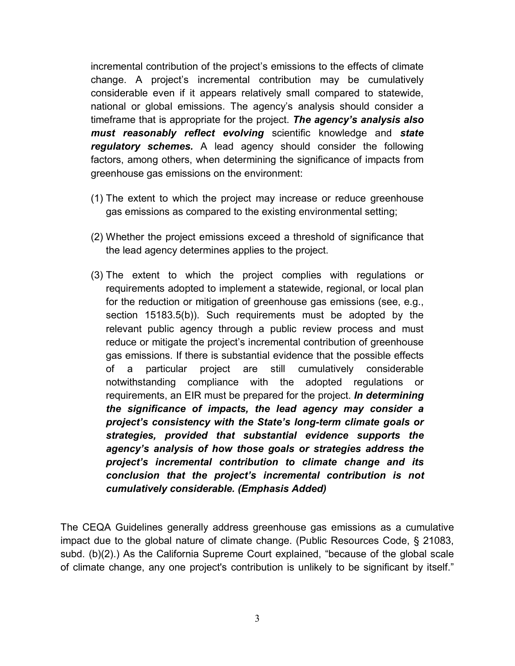incremental contribution of the project's emissions to the effects of climate change. A project's incremental contribution may be cumulatively considerable even if it appears relatively small compared to statewide, national or global emissions. The agency's analysis should consider a timeframe that is appropriate for the project. *The agency's analysis also must reasonably reflect evolving* scientific knowledge and *state regulatory schemes.* A lead agency should consider the following factors, among others, when determining the significance of impacts from greenhouse gas emissions on the environment:

- (1) The extent to which the project may increase or reduce greenhouse gas emissions as compared to the existing environmental setting;
- (2) Whether the project emissions exceed a threshold of significance that the lead agency determines applies to the project.
- (3) The extent to which the project complies with regulations or requirements adopted to implement a statewide, regional, or local plan for the reduction or mitigation of greenhouse gas emissions (see, e.g., section 15183.5(b)). Such requirements must be adopted by the relevant public agency through a public review process and must reduce or mitigate the project's incremental contribution of greenhouse gas emissions. If there is substantial evidence that the possible effects of a particular project are still cumulatively considerable notwithstanding compliance with the adopted regulations or requirements, an EIR must be prepared for the project. *In determining the significance of impacts, the lead agency may consider a project's consistency with the State's long-term climate goals or strategies, provided that substantial evidence supports the agency's analysis of how those goals or strategies address the project's incremental contribution to climate change and its conclusion that the project's incremental contribution is not cumulatively considerable. (Emphasis Added)*

The CEQA Guidelines generally address greenhouse gas emissions as a cumulative impact due to the global nature of climate change. (Public Resources Code, § 21083, subd. (b)(2).) As the California Supreme Court explained, "because of the global scale of climate change, any one project's contribution is unlikely to be significant by itself."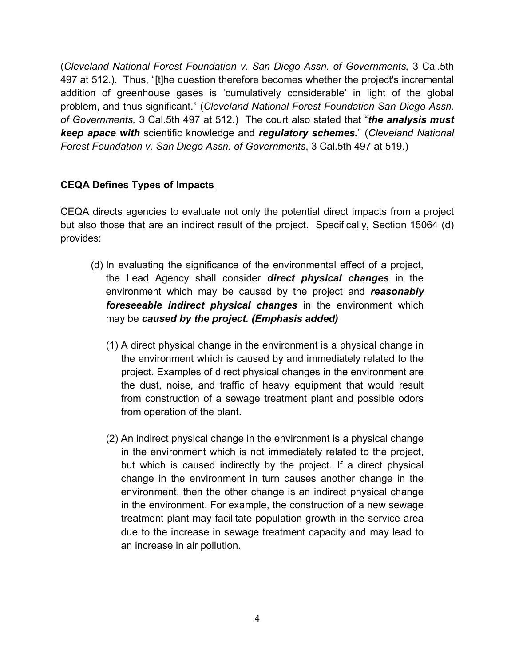(*Cleveland National Forest Foundation v. San Diego Assn. of Governments,* 3 Cal.5th 497 at 512.). Thus, "[t]he question therefore becomes whether the project's incremental addition of greenhouse gases is 'cumulatively considerable' in light of the global problem, and thus significant." (*Cleveland National Forest Foundation San Diego Assn. of Governments,* 3 Cal.5th 497 at 512.) The court also stated that "*the analysis must keep apace with* scientific knowledge and *regulatory schemes.*" (*Cleveland National Forest Foundation v. San Diego Assn. of Governments*, 3 Cal.5th 497 at 519.)

## **CEQA Defines Types of Impacts**

CEQA directs agencies to evaluate not only the potential direct impacts from a project but also those that are an indirect result of the project. Specifically, Section 15064 (d) provides:

- (d) In evaluating the significance of the environmental effect of a project, the Lead Agency shall consider *direct physical changes* in the environment which may be caused by the project and *reasonably foreseeable indirect physical changes* in the environment which may be *caused by the project. (Emphasis added)*
	- (1) A direct physical change in the environment is a physical change in the environment which is caused by and immediately related to the project. Examples of direct physical changes in the environment are the dust, noise, and traffic of heavy equipment that would result from construction of a sewage treatment plant and possible odors from operation of the plant.
	- (2) An indirect physical change in the environment is a physical change in the environment which is not immediately related to the project, but which is caused indirectly by the project. If a direct physical change in the environment in turn causes another change in the environment, then the other change is an indirect physical change in the environment. For example, the construction of a new sewage treatment plant may facilitate population growth in the service area due to the increase in sewage treatment capacity and may lead to an increase in air pollution.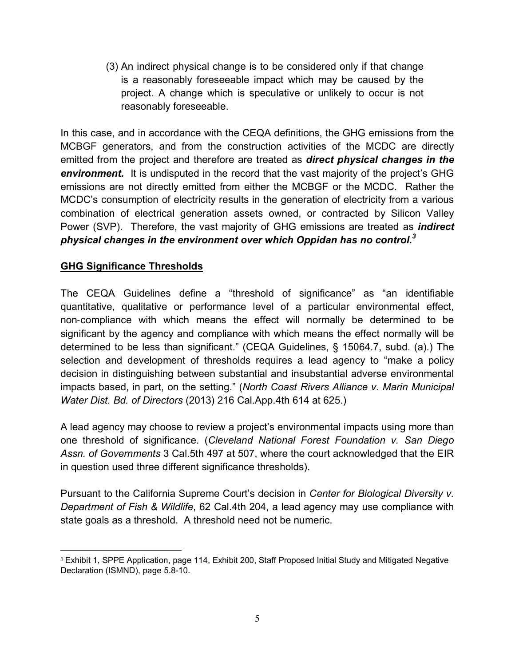(3) An indirect physical change is to be considered only if that change is a reasonably foreseeable impact which may be caused by the project. A change which is speculative or unlikely to occur is not reasonably foreseeable.

In this case, and in accordance with the CEQA definitions, the GHG emissions from the MCBGF generators, and from the construction activities of the MCDC are directly emitted from the project and therefore are treated as *direct physical changes in the environment.* It is undisputed in the record that the vast majority of the project's GHG emissions are not directly emitted from either the MCBGF or the MCDC. Rather the MCDC's consumption of electricity results in the generation of electricity from a various combination of electrical generation assets owned, or contracted by Silicon Valley Power (SVP). Therefore, the vast majority of GHG emissions are treated as *indirect physical changes in the environment over which Oppidan has no control. 3*

## **GHG Significance Thresholds**

The CEQA Guidelines define a "threshold of significance" as "an identifiable quantitative, qualitative or performance level of a particular environmental effect, non‐compliance with which means the effect will normally be determined to be significant by the agency and compliance with which means the effect normally will be determined to be less than significant." (CEQA Guidelines, § 15064.7, subd. (a).) The selection and development of thresholds requires a lead agency to "make a policy decision in distinguishing between substantial and insubstantial adverse environmental impacts based, in part, on the setting." (*North Coast Rivers Alliance v. Marin Municipal Water Dist. Bd. of Directors* (2013) 216 Cal.App.4th 614 at 625.)

A lead agency may choose to review a project's environmental impacts using more than one threshold of significance. (*Cleveland National Forest Foundation v. San Diego Assn. of Governments* 3 Cal.5th 497 at 507, where the court acknowledged that the EIR in question used three different significance thresholds).

Pursuant to the California Supreme Court's decision in *Center for Biological Diversity v. Department of Fish & Wildlife*, 62 Cal.4th 204, a lead agency may use compliance with state goals as a threshold. A threshold need not be numeric.

 <sup>3</sup> Exhibit 1, SPPE Application, page 114, Exhibit 200, Staff Proposed Initial Study and Mitigated Negative Declaration (ISMND), page 5.8-10.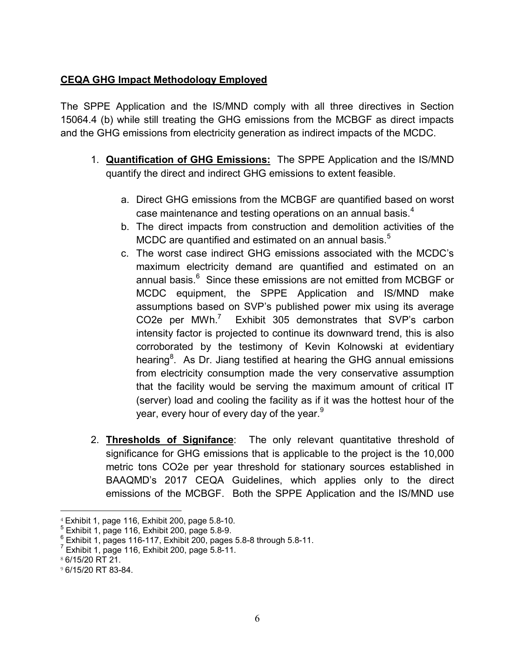## **CEQA GHG Impact Methodology Employed**

The SPPE Application and the IS/MND comply with all three directives in Section 15064.4 (b) while still treating the GHG emissions from the MCBGF as direct impacts and the GHG emissions from electricity generation as indirect impacts of the MCDC.

- 1. **Quantification of GHG Emissions:** The SPPE Application and the IS/MND quantify the direct and indirect GHG emissions to extent feasible.
	- a. Direct GHG emissions from the MCBGF are quantified based on worst case maintenance and testing operations on an annual basis. $^{\rm 4}$
	- b. The direct impacts from construction and demolition activities of the MCDC are quantified and estimated on an annual basis. $^5$
	- c. The worst case indirect GHG emissions associated with the MCDC's maximum electricity demand are quantified and estimated on an annual basis.<sup>6</sup> Since these emissions are not emitted from MCBGF or MCDC equipment, the SPPE Application and IS/MND make assumptions based on SVP's published power mix using its average CO2e per MWh.<sup>7</sup> Exhibit 305 demonstrates that SVP's carbon intensity factor is projected to continue its downward trend, this is also corroborated by the testimony of Kevin Kolnowski at evidentiary hearing ${}^{8}$ . As Dr. Jiang testified at hearing the GHG annual emissions from electricity consumption made the very conservative assumption that the facility would be serving the maximum amount of critical IT (server) load and cooling the facility as if it was the hottest hour of the year, every hour of every day of the year.<sup>9</sup>
- 2. **Thresholds of Signifance**: The only relevant quantitative threshold of significance for GHG emissions that is applicable to the project is the 10,000 metric tons CO2e per year threshold for stationary sources established in BAAQMD's 2017 CEQA Guidelines, which applies only to the direct emissions of the MCBGF. Both the SPPE Application and the IS/MND use

<sup>&</sup>lt;sup>4</sup> Exhibit 1, page 116, Exhibit 200, page 5.8-10.<br><sup>5</sup> Exhibit 1, page 116, Exhibit 200, page 5.8-9.<br><sup>6</sup> Exhibit 1, pages 116-117, Exhibit 200, pages 5.8-8 through 5.8-11.<br><sup>7</sup> Exhibit 1, page 116, Exhibit 200, page 5.8-11

<sup>8</sup> 6/15/20 RT 21.

<sup>9</sup> 6/15/20 RT 83-84.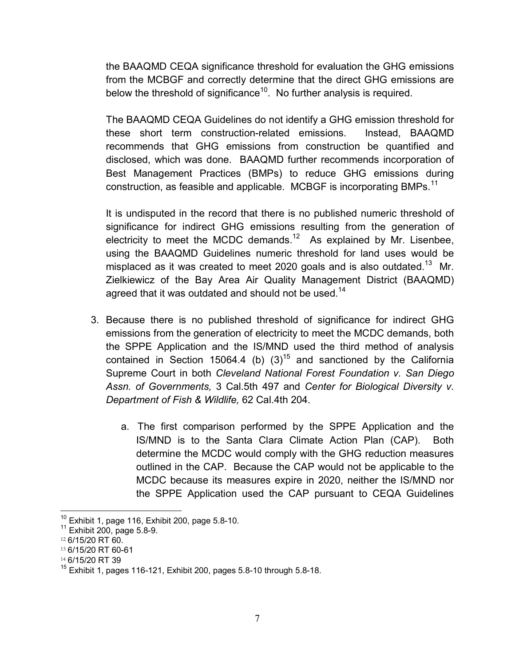the BAAQMD CEQA significance threshold for evaluation the GHG emissions from the MCBGF and correctly determine that the direct GHG emissions are below the threshold of significance<sup>10</sup>. No further analysis is required.

The BAAQMD CEQA Guidelines do not identify a GHG emission threshold for these short term construction-related emissions. Instead, BAAQMD recommends that GHG emissions from construction be quantified and disclosed, which was done. BAAQMD further recommends incorporation of Best Management Practices (BMPs) to reduce GHG emissions during construction, as feasible and applicable. MCBGF is incorporating BMPs.<sup>11</sup>

It is undisputed in the record that there is no published numeric threshold of significance for indirect GHG emissions resulting from the generation of electricity to meet the MCDC demands.<sup>12</sup> As explained by Mr. Lisenbee, using the BAAQMD Guidelines numeric threshold for land uses would be misplaced as it was created to meet 2020 goals and is also outdated.<sup>13</sup> Mr. Zielkiewicz of the Bay Area Air Quality Management District (BAAQMD) agreed that it was outdated and should not be used. $14$ 

- 3. Because there is no published threshold of significance for indirect GHG emissions from the generation of electricity to meet the MCDC demands, both the SPPE Application and the IS/MND used the third method of analysis contained in Section 15064.4 (b)  $(3)^{15}$  and sanctioned by the California Supreme Court in both *Cleveland National Forest Foundation v. San Diego Assn. of Governments,* 3 Cal.5th 497 and *Center for Biological Diversity v. Department of Fish & Wildlife,* 62 Cal.4th 204.
	- a. The first comparison performed by the SPPE Application and the IS/MND is to the Santa Clara Climate Action Plan (CAP). Both determine the MCDC would comply with the GHG reduction measures outlined in the CAP. Because the CAP would not be applicable to the MCDC because its measures expire in 2020, neither the IS/MND nor the SPPE Application used the CAP pursuant to CEQA Guidelines

 $10^{10}$  Exhibit 1, page 116, Exhibit 200, page 5.8-10.<br> $11$  Exhibit 200, page 5.8-9.

<sup>12</sup> 6/15/20 RT 60.

<sup>13</sup> 6/15/20 RT 60-61

<sup>14</sup> 6/15/20 RT 39

 $15$  Exhibit 1, pages 116-121, Exhibit 200, pages 5.8-10 through 5.8-18.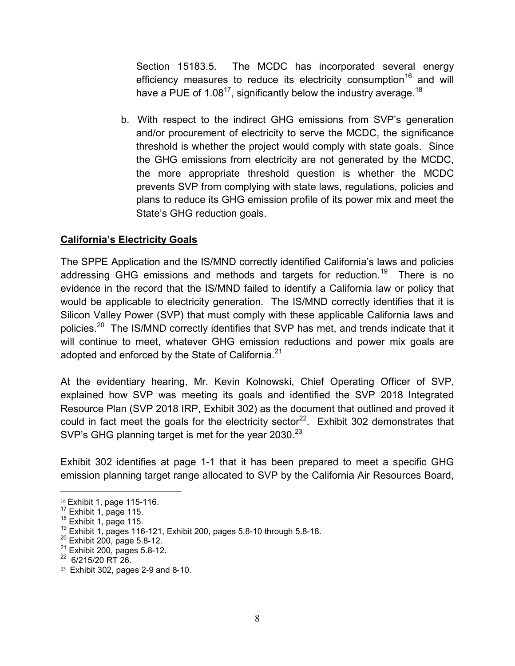Section 15183.5. The MCDC has incorporated several energy efficiency measures to reduce its electricity consumption<sup>16</sup> and will have a PUE of 1.08<sup>17</sup>, significantly below the industry average.<sup>18</sup>

b. With respect to the indirect GHG emissions from SVP's generation and/or procurement of electricity to serve the MCDC, the significance threshold is whether the project would comply with state goals. Since the GHG emissions from electricity are not generated by the MCDC, the more appropriate threshold question is whether the MCDC prevents SVP from complying with state laws, regulations, policies and plans to reduce its GHG emission profile of its power mix and meet the State's GHG reduction goals.

### **California's Electricity Goals**

The SPPE Application and the IS/MND correctly identified California's laws and policies addressing GHG emissions and methods and targets for reduction.<sup>19</sup> There is no evidence in the record that the IS/MND failed to identify a California law or policy that would be applicable to electricity generation. The IS/MND correctly identifies that it is Silicon Valley Power (SVP) that must comply with these applicable California laws and policies.<sup>20</sup> The IS/MND correctly identifies that SVP has met, and trends indicate that it will continue to meet, whatever GHG emission reductions and power mix goals are adopted and enforced by the State of California. $^\mathrm{21}$ 

At the evidentiary hearing, Mr. Kevin Kolnowski, Chief Operating Officer of SVP, explained how SVP was meeting its goals and identified the SVP 2018 Integrated Resource Plan (SVP 2018 IRP, Exhibit 302) as the document that outlined and proved it could in fact meet the goals for the electricity sector<sup>22</sup>. Exhibit 302 demonstrates that SVP's GHG planning target is met for the year  $2030$ .<sup>23</sup>

Exhibit 302 identifies at page 1-1 that it has been prepared to meet a specific GHG emission planning target range allocated to SVP by the California Air Resources Board,

<sup>&</sup>lt;sup>16</sup> Exhibit 1, page 115-116.<br><sup>17</sup> Exhibit 1, page 115.<br><sup>18</sup> Exhibit 1, page 115.<br><sup>19</sup> Exhibit 1, pages 116-121, Exhibit 200, pages 5.8-10 through 5.8-18.<br><sup>20</sup> Exhibit 200, page 5.8-12.<br><sup>21</sup> Exhibit 200, pages 5.8-12.<br><sup>22</sup>

 $23$  Exhibit 302, pages 2-9 and 8-10.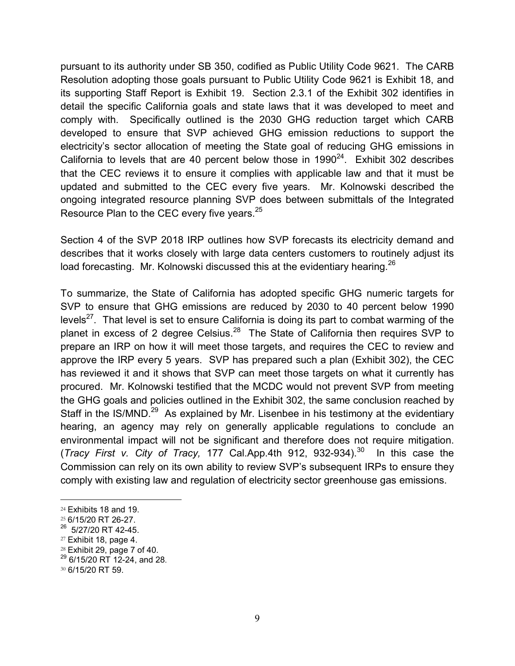pursuant to its authority under SB 350, codified as Public Utility Code 9621. The CARB Resolution adopting those goals pursuant to Public Utility Code 9621 is Exhibit 18, and its supporting Staff Report is Exhibit 19. Section 2.3.1 of the Exhibit 302 identifies in detail the specific California goals and state laws that it was developed to meet and comply with. Specifically outlined is the 2030 GHG reduction target which CARB developed to ensure that SVP achieved GHG emission reductions to support the electricity's sector allocation of meeting the State goal of reducing GHG emissions in California to levels that are 40 percent below those in  $1990^{24}$ . Exhibit 302 describes that the CEC reviews it to ensure it complies with applicable law and that it must be updated and submitted to the CEC every five years. Mr. Kolnowski described the ongoing integrated resource planning SVP does between submittals of the Integrated Resource Plan to the CEC every five years.<sup>25</sup>

Section 4 of the SVP 2018 IRP outlines how SVP forecasts its electricity demand and describes that it works closely with large data centers customers to routinely adjust its load forecasting. Mr. Kolnowski discussed this at the evidentiary hearing.  $26$ 

To summarize, the State of California has adopted specific GHG numeric targets for SVP to ensure that GHG emissions are reduced by 2030 to 40 percent below 1990 levels<sup>27</sup>. That level is set to ensure California is doing its part to combat warming of the planet in excess of 2 degree Celsius.<sup>28</sup> The State of California then requires SVP to prepare an IRP on how it will meet those targets, and requires the CEC to review and approve the IRP every 5 years. SVP has prepared such a plan (Exhibit 302), the CEC has reviewed it and it shows that SVP can meet those targets on what it currently has procured. Mr. Kolnowski testified that the MCDC would not prevent SVP from meeting the GHG goals and policies outlined in the Exhibit 302, the same conclusion reached by Staff in the IS/MND.<sup>29</sup> As explained by Mr. Lisenbee in his testimony at the evidentiary hearing, an agency may rely on generally applicable regulations to conclude an environmental impact will not be significant and therefore does not require mitigation. (*Tracy First v. City of Tracy,* 177 Cal.App.4th 912, 932-934).30 In this case the Commission can rely on its own ability to review SVP's subsequent IRPs to ensure they comply with existing law and regulation of electricity sector greenhouse gas emissions.

 <sup>24</sup> Exhibits 18 and 19.

<sup>25</sup> 6/15/20 RT 26-27.

 $26$  5/27/20 RT 42-45.

 $27$  Exhibit 18, page 4.

 $28$  Exhibit 29, page 7 of 40.

 $29$  6/15/20 RT 12-24, and 28.

<sup>30</sup> 6/15/20 RT 59.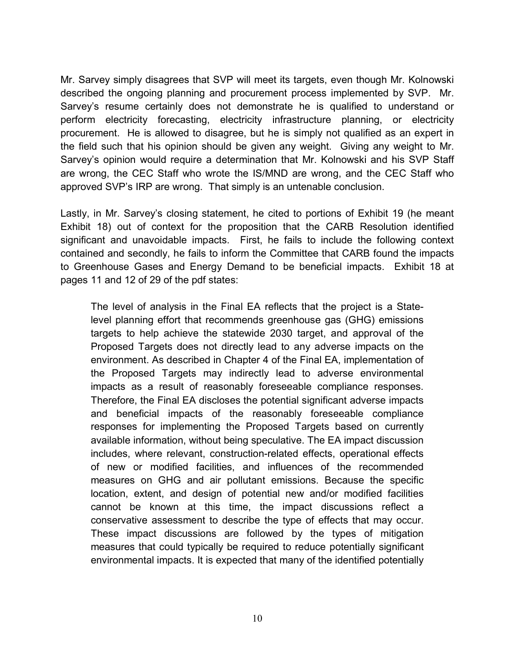Mr. Sarvey simply disagrees that SVP will meet its targets, even though Mr. Kolnowski described the ongoing planning and procurement process implemented by SVP. Mr. Sarvey's resume certainly does not demonstrate he is qualified to understand or perform electricity forecasting, electricity infrastructure planning, or electricity procurement. He is allowed to disagree, but he is simply not qualified as an expert in the field such that his opinion should be given any weight. Giving any weight to Mr. Sarvey's opinion would require a determination that Mr. Kolnowski and his SVP Staff are wrong, the CEC Staff who wrote the IS/MND are wrong, and the CEC Staff who approved SVP's IRP are wrong. That simply is an untenable conclusion.

Lastly, in Mr. Sarvey's closing statement, he cited to portions of Exhibit 19 (he meant Exhibit 18) out of context for the proposition that the CARB Resolution identified significant and unavoidable impacts. First, he fails to include the following context contained and secondly, he fails to inform the Committee that CARB found the impacts to Greenhouse Gases and Energy Demand to be beneficial impacts. Exhibit 18 at pages 11 and 12 of 29 of the pdf states:

The level of analysis in the Final EA reflects that the project is a Statelevel planning effort that recommends greenhouse gas (GHG) emissions targets to help achieve the statewide 2030 target, and approval of the Proposed Targets does not directly lead to any adverse impacts on the environment. As described in Chapter 4 of the Final EA, implementation of the Proposed Targets may indirectly lead to adverse environmental impacts as a result of reasonably foreseeable compliance responses. Therefore, the Final EA discloses the potential significant adverse impacts and beneficial impacts of the reasonably foreseeable compliance responses for implementing the Proposed Targets based on currently available information, without being speculative. The EA impact discussion includes, where relevant, construction-related effects, operational effects of new or modified facilities, and influences of the recommended measures on GHG and air pollutant emissions. Because the specific location, extent, and design of potential new and/or modified facilities cannot be known at this time, the impact discussions reflect a conservative assessment to describe the type of effects that may occur. These impact discussions are followed by the types of mitigation measures that could typically be required to reduce potentially significant environmental impacts. It is expected that many of the identified potentially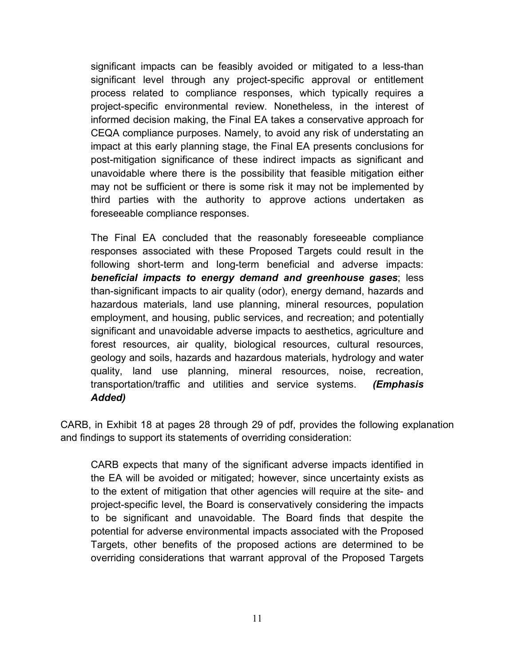significant impacts can be feasibly avoided or mitigated to a less-than significant level through any project-specific approval or entitlement process related to compliance responses, which typically requires a project-specific environmental review. Nonetheless, in the interest of informed decision making, the Final EA takes a conservative approach for CEQA compliance purposes. Namely, to avoid any risk of understating an impact at this early planning stage, the Final EA presents conclusions for post-mitigation significance of these indirect impacts as significant and unavoidable where there is the possibility that feasible mitigation either may not be sufficient or there is some risk it may not be implemented by third parties with the authority to approve actions undertaken as foreseeable compliance responses.

The Final EA concluded that the reasonably foreseeable compliance responses associated with these Proposed Targets could result in the following short-term and long-term beneficial and adverse impacts: *beneficial impacts to energy demand and greenhouse gases*; less than-significant impacts to air quality (odor), energy demand, hazards and hazardous materials, land use planning, mineral resources, population employment, and housing, public services, and recreation; and potentially significant and unavoidable adverse impacts to aesthetics, agriculture and forest resources, air quality, biological resources, cultural resources, geology and soils, hazards and hazardous materials, hydrology and water quality, land use planning, mineral resources, noise, recreation, transportation/traffic and utilities and service systems. *(Emphasis Added)*

CARB, in Exhibit 18 at pages 28 through 29 of pdf, provides the following explanation and findings to support its statements of overriding consideration:

CARB expects that many of the significant adverse impacts identified in the EA will be avoided or mitigated; however, since uncertainty exists as to the extent of mitigation that other agencies will require at the site- and project-specific level, the Board is conservatively considering the impacts to be significant and unavoidable. The Board finds that despite the potential for adverse environmental impacts associated with the Proposed Targets, other benefits of the proposed actions are determined to be overriding considerations that warrant approval of the Proposed Targets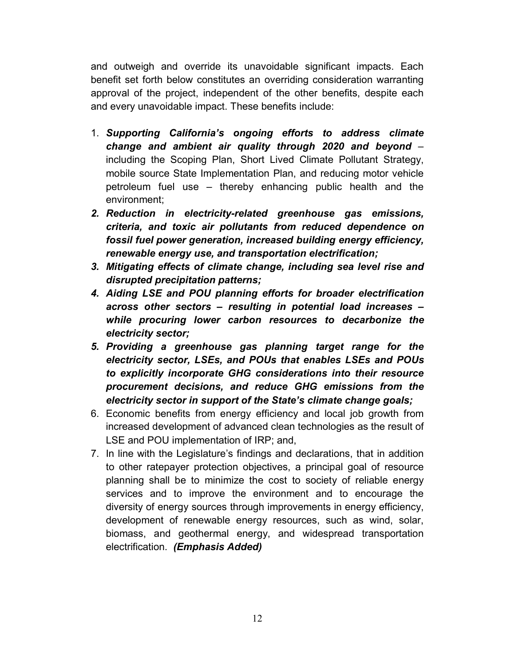and outweigh and override its unavoidable significant impacts. Each benefit set forth below constitutes an overriding consideration warranting approval of the project, independent of the other benefits, despite each and every unavoidable impact. These benefits include:

- 1. *Supporting California's ongoing efforts to address climate change and ambient air quality through 2020 and beyond* – including the Scoping Plan, Short Lived Climate Pollutant Strategy, mobile source State Implementation Plan, and reducing motor vehicle petroleum fuel use – thereby enhancing public health and the environment;
- *2. Reduction in electricity-related greenhouse gas emissions, criteria, and toxic air pollutants from reduced dependence on fossil fuel power generation, increased building energy efficiency, renewable energy use, and transportation electrification;*
- *3. Mitigating effects of climate change, including sea level rise and disrupted precipitation patterns;*
- *4. Aiding LSE and POU planning efforts for broader electrification across other sectors – resulting in potential load increases – while procuring lower carbon resources to decarbonize the electricity sector;*
- *5. Providing a greenhouse gas planning target range for the electricity sector, LSEs, and POUs that enables LSEs and POUs to explicitly incorporate GHG considerations into their resource procurement decisions, and reduce GHG emissions from the electricity sector in support of the State's climate change goals;*
- 6. Economic benefits from energy efficiency and local job growth from increased development of advanced clean technologies as the result of LSE and POU implementation of IRP; and,
- 7. In line with the Legislature's findings and declarations, that in addition to other ratepayer protection objectives, a principal goal of resource planning shall be to minimize the cost to society of reliable energy services and to improve the environment and to encourage the diversity of energy sources through improvements in energy efficiency, development of renewable energy resources, such as wind, solar, biomass, and geothermal energy, and widespread transportation electrification. *(Emphasis Added)*